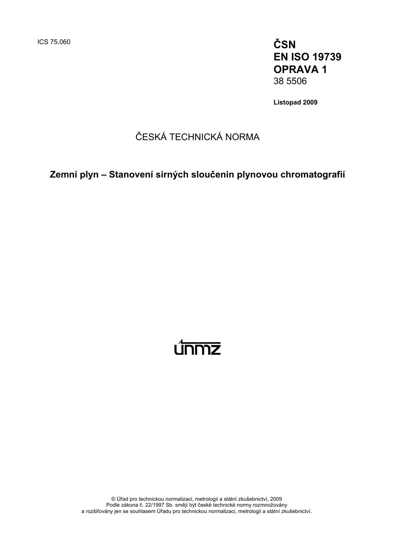ICS 75.060 **ČSN EN ISO 19739 OPRAVA 1**  38 5506

**Listopad 2009** 

## ČESKÁ TECHNICKÁ NORMA

## **Zemní plyn – Stanovení sirných sloučenin plynovou chromatografií**

# <u>únmz</u>

© Úřad pro technickou normalizaci, metrologii a státní zkušebnictví, 2009 Podle zákona č. 22/1997 Sb. smějí být české technické normy rozmnožovány a rozšiřovány jen se souhlasem Úřadu pro technickou normalizaci, metrologii a státní zkušebnictví.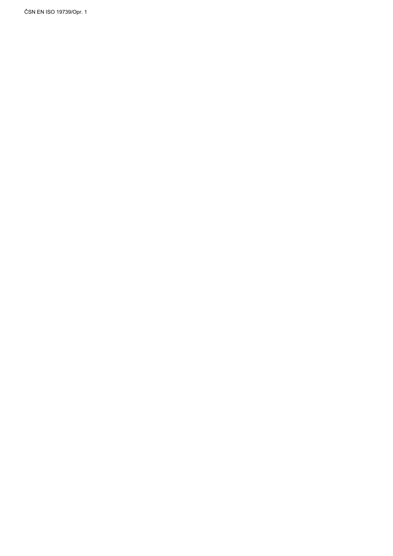ČSN EN ISO 19739/Opr. 1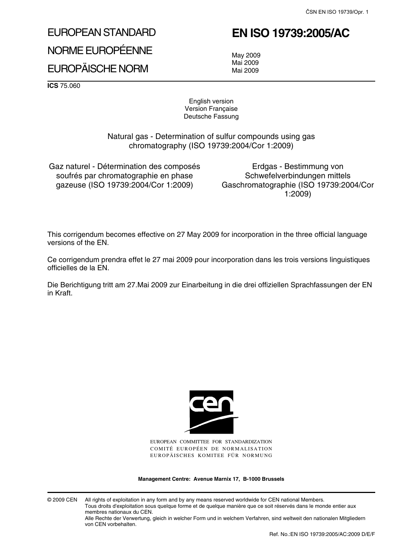# EUROPEAN STANDARD NORME EUROPÉENNE EUROPÄISCHE NORM

# **EN ISO 19739:2005/AC**

May 2009 Mai 2009 Mai 2009

**ICS** 75.060

English version Version Française Deutsche Fassung

Natural gas - Determination of sulfur compounds using gas chromatography (ISO 19739:2004/Cor 1:2009)

Gaz naturel - Détermination des composés soufrés par chromatographie en phase gazeuse (ISO 19739:2004/Cor 1:2009)

Erdgas - Bestimmung von Schwefelverbindungen mittels Gaschromatographie (ISO 19739:2004/Cor 1:2009)

This corrigendum becomes effective on 27 May 2009 for incorporation in the three official language versions of the EN.

Ce corrigendum prendra effet le 27 mai 2009 pour incorporation dans les trois versions linguistiques officielles de la EN.

Die Berichtigung tritt am 27.Mai 2009 zur Einarbeitung in die drei offiziellen Sprachfassungen der EN in Kraft.



EUROPEAN COMMITTEE FOR STANDARDIZATION COMITÉ EUROPÉEN DE NORMALISATION EUROPÄISCHES KOMITEE FÜR NORMUNG

**Management Centre: Avenue Marnix 17, B-1000 Brussels**

© 2009 CEN All rights of exploitation in any form and by any means reserved worldwide for CEN national Members. Tous droits d'exploitation sous quelque forme et de quelque manière que ce soit réservés dans le monde entier aux membres nationaux du CEN.

Alle Rechte der Verwertung, gleich in welcher Form und in welchem Verfahren, sind weltweit den nationalen Mitgliedern von CEN vorbehalten.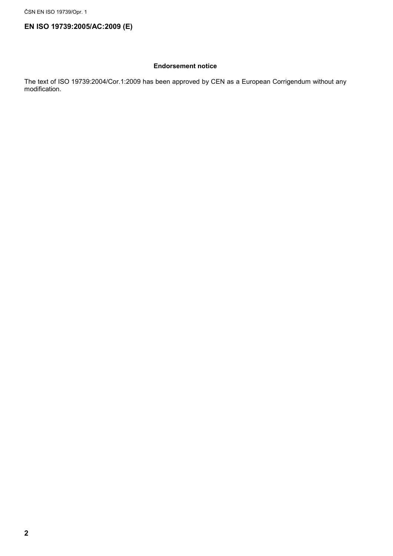ČSN EN ISO 19739/Opr. 1

## **EN ISO 19739:2005/AC:2009 (E)**

## **Endorsement notice**

The text of ISO 19739:2004/Cor.1:2009 has been approved by CEN as a European Corrigendum without any modification.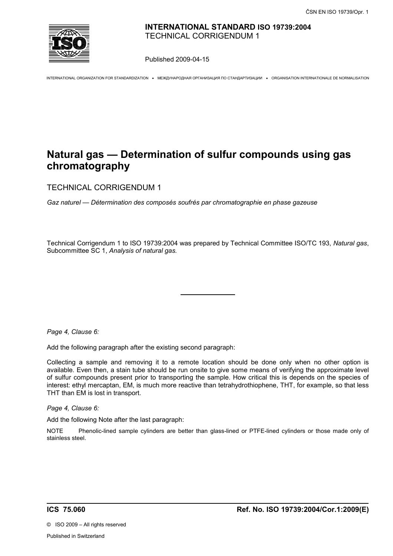

### **INTERNATIONAL STANDARD ISO 19739:2004** TECHNICAL CORRIGENDUM 1

Published 2009-04-15

INTERNATIONAL ORGANIZATION FOR STANDARDIZATION • МЕЖДУНАРОДНАЯ ОРГАНИЗАЦИЯ ПО СТАНДАРТИЗАЦИИ • ORGANISATION INTERNATIONALE DE NORMALISATION

## **Natural gas — Determination of sulfur compounds using gas chromatography**

TECHNICAL CORRIGENDUM 1

*Gaz naturel — Détermination des composés soufrés par chromatographie en phase gazeuse* 

 $\overline{a}$ 

Technical Corrigendum 1 to ISO 19739:2004 was prepared by Technical Committee ISO/TC 193, *Natural gas*, Subcommittee SC 1, *Analysis of natural gas.* 

*Page 4, Clause 6:* 

Add the following paragraph after the existing second paragraph:

Collecting a sample and removing it to a remote location should be done only when no other option is available. Even then, a stain tube should be run onsite to give some means of verifying the approximate level of sulfur compounds present prior to transporting the sample. How critical this is depends on the species of interest: ethyl mercaptan, EM, is much more reactive than tetrahydrothiophene, THT, for example, so that less THT than EM is lost in transport.

*Page 4, Clause 6:*

Add the following Note after the last paragraph:

NOTE Phenolic-lined sample cylinders are better than glass-lined or PTFE-lined cylinders or those made only of stainless steel.

©ISO 2009 – All rights reserved